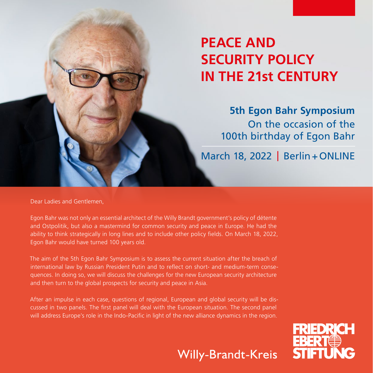# **PEACE AND SECURITY POLICY IN THE 21st CENTURY**

**5th Egon Bahr Symposium** On the occasion of the 100th birthday of Egon Bahr

March 18, 2022 | Berlin+ONLINE

Dear Ladies and Gentlemen,

Egon Bahr was not only an essential architect of the Willy Brandt government's policy of détente and Ostpolitik, but also a mastermind for common security and peace in Europe. He had the ability to think strategically in long lines and to include other policy fields. On March 18, 2022, Egon Bahr would have turned 100 years old.

The aim of the 5th Egon Bahr Symposium is to assess the current situation after the breach of international law by Russian President Putin and to reflect on short- and medium-term consequences. In doing so, we will discuss the challenges for the new European security architecture and then turn to the global prospects for security and peace in Asia.

After an impulse in each case, questions of regional, European and global security will be discussed in two panels. The first panel will deal with the European situation. The second panel will address Europe's role in the Indo-Pacific in light of the new alliance dynamics in the region.

**Willy-Brandt-Kreis** 

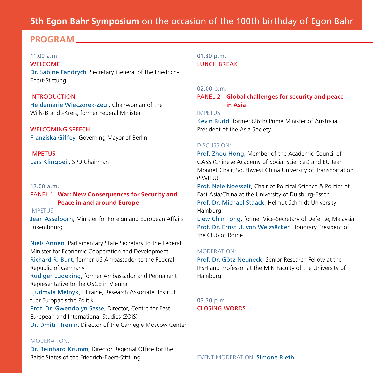## **5th Egon Bahr Symposium** on the occasion of the 100th birthday of Egon Bahr

### **PROGRAM**

11.00 a.m. WELCOME Dr. Sabine Fandrych, Secretary General of the Friedrich-Ebert-Stiftung

#### INTRODUCTION

Heidemarie Wieczorek-Zeul, Chairwoman of the Willy-Brandt-Kreis, former Federal Minister

WELCOMING SPEECH Franziska Giffey, Governing Mayor of Berlin

IMPETUS Lars Klingbeil, SPD Chairman

#### $12.00 a m$

#### PANEL 1 **War: New Consequences for Security and Peace in and around Europe**

IMPETUS:

Jean Asselborn, Minister for Foreign and European Affairs Luxembourg

Niels Annen, Parliamentary State Secretary to the Federal Minister for Economic Cooperation and Development Richard R. Burt, former US Ambassador to the Federal Republic of Germany Rüdiger Lüdeking, former Ambassador and Permanent Representative to the OSCE in Vienna Ljudmyla Melnyk, Ukraine, Research Associate, Institut fuer Europaeische Politik

Prof. Dr. Gwendolyn Sasse, Director, Centre for East European and International Studies (ZOiS) Dr. Dmitri Trenin, Director of the Carnegie Moscow Center

#### MODERATION:

Dr. Reinhard Krumm, Director Regional Office for the Baltic States of the Friedrich-Ebert-Stiftung

01.30 p.m. LUNCH BREAK

#### 02.00 p.m.

PANEL 2 **Global challenges for security and peace in Asia**

#### IMPETUS:

Kevin Rudd, former (26th) Prime Minister of Australia, President of the Asia Society

#### DISCUSSION:

Prof. Zhou Hong, Member of the Academic Council of CASS (Chinese Academy of Social Sciences) and EU Jean Monnet Chair, Southwest China University of Transportation (SWJTU)

Prof. Nele Noesselt, Chair of Political Science & Politics of East Asia/China at the University of Duisburg-Essen Prof. Dr. Michael Staack, Helmut Schmidt University Hamburg

Liew Chin Tong, former Vice-Secretary of Defense, Malaysia Prof. Dr. Ernst U. von Weizsäcker, Honorary President of the Club of Rome

#### MODERATION:

Prof. Dr. Götz Neuneck, Senior Research Fellow at the IFSH and Professor at the MIN Faculty of the University of Hamburg

03.30 p.m. CLOSING WORDS